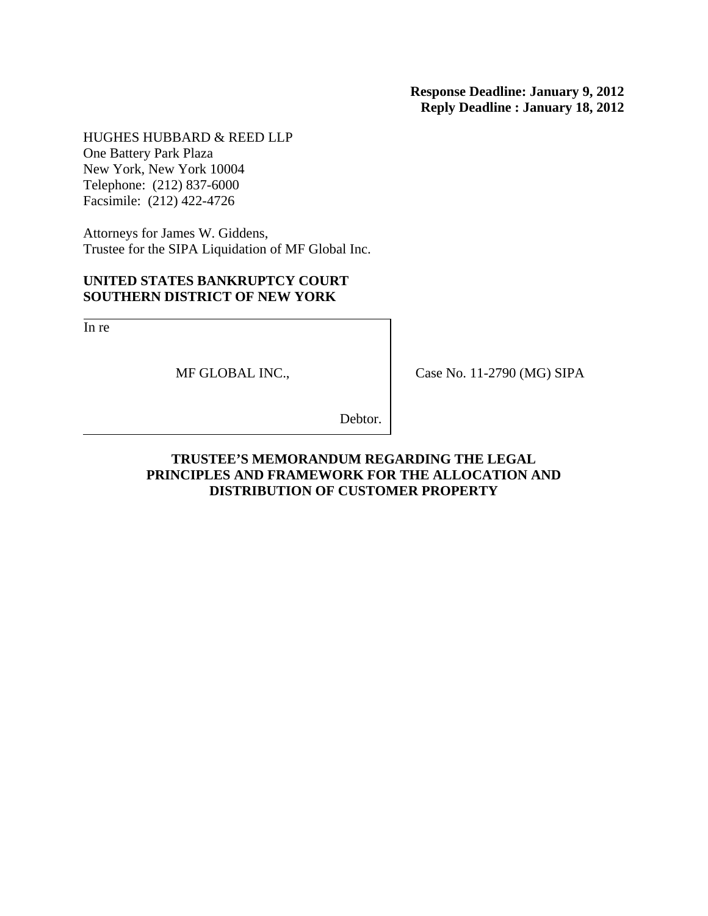HUGHES HUBBARD & REED LLP One Battery Park Plaza New York, New York 10004 Telephone: (212) 837-6000 Facsimile: (212) 422-4726

Attorneys for James W. Giddens, Trustee for the SIPA Liquidation of MF Global Inc.

## **UNITED STATES BANKRUPTCY COURT SOUTHERN DISTRICT OF NEW YORK**

In re

MF GLOBAL INC.,

Case No. 11-2790 (MG) SIPA

Debtor.

## **TRUSTEE'S MEMORANDUM REGARDING THE LEGAL PRINCIPLES AND FRAMEWORK FOR THE ALLOCATION AND DISTRIBUTION OF CUSTOMER PROPERTY**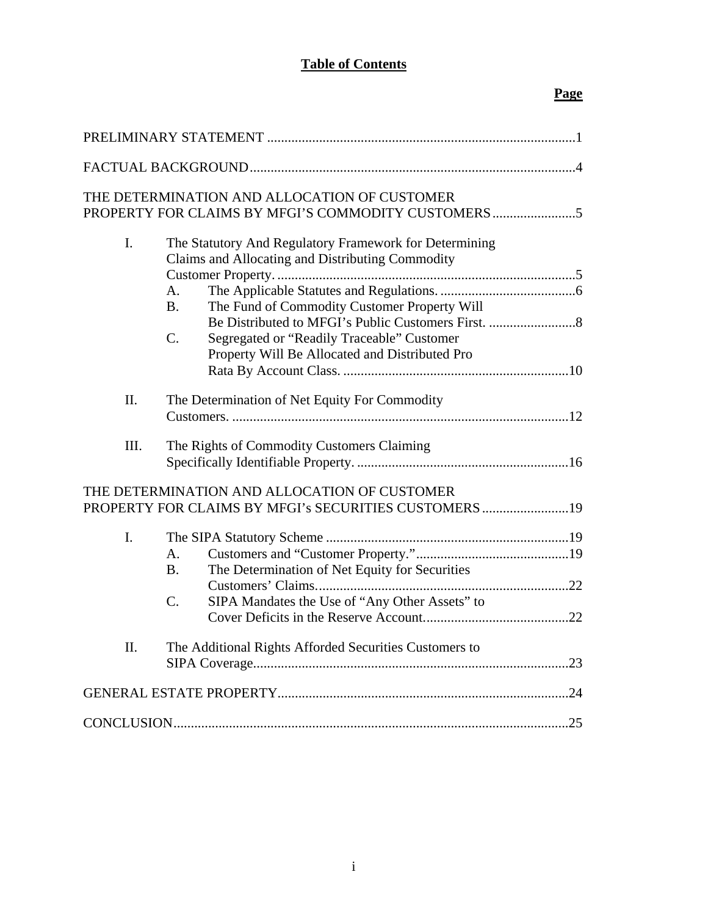# **Table of Contents**

# **Page**

|                                                                                                       | THE DETERMINATION AND ALLOCATION OF CUSTOMER<br>PROPERTY FOR CLAIMS BY MFGI'S COMMODITY CUSTOMERS                                                                                                                                                                                                            |  |  |
|-------------------------------------------------------------------------------------------------------|--------------------------------------------------------------------------------------------------------------------------------------------------------------------------------------------------------------------------------------------------------------------------------------------------------------|--|--|
| I.                                                                                                    | The Statutory And Regulatory Framework for Determining<br>Claims and Allocating and Distributing Commodity<br>A <sub>1</sub><br><b>B.</b><br>The Fund of Commodity Customer Property Will<br>$\mathcal{C}$ .<br>Segregated or "Readily Traceable" Customer<br>Property Will Be Allocated and Distributed Pro |  |  |
| II.                                                                                                   | The Determination of Net Equity For Commodity                                                                                                                                                                                                                                                                |  |  |
| III.                                                                                                  | The Rights of Commodity Customers Claiming                                                                                                                                                                                                                                                                   |  |  |
| THE DETERMINATION AND ALLOCATION OF CUSTOMER<br>PROPERTY FOR CLAIMS BY MFGI's SECURITIES CUSTOMERS 19 |                                                                                                                                                                                                                                                                                                              |  |  |
| $\mathbf{I}$ .                                                                                        | $\mathbf{A}$ .<br>The Determination of Net Equity for Securities<br>B <sub>1</sub><br>C.<br>SIPA Mandates the Use of "Any Other Assets" to                                                                                                                                                                   |  |  |
| II.                                                                                                   | The Additional Rights Afforded Securities Customers to                                                                                                                                                                                                                                                       |  |  |
|                                                                                                       |                                                                                                                                                                                                                                                                                                              |  |  |
|                                                                                                       |                                                                                                                                                                                                                                                                                                              |  |  |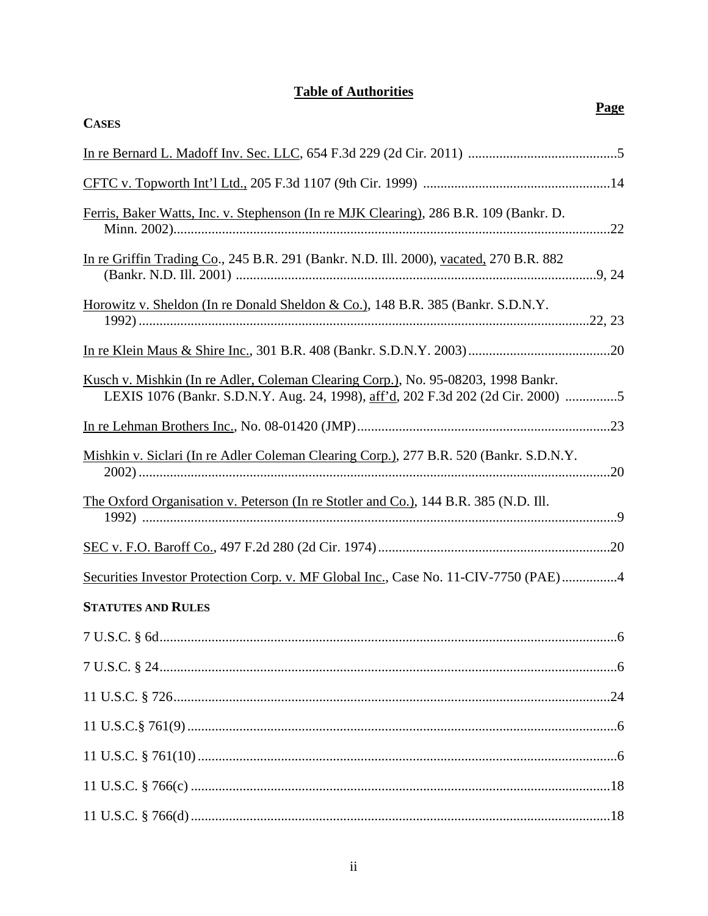# **Table of Authorities**

| <b>CASES</b>                                                                                                                                                          | Page |
|-----------------------------------------------------------------------------------------------------------------------------------------------------------------------|------|
|                                                                                                                                                                       |      |
|                                                                                                                                                                       |      |
| Ferris, Baker Watts, Inc. v. Stephenson (In re MJK Clearing), 286 B.R. 109 (Bankr. D.                                                                                 |      |
| In re Griffin Trading Co., 245 B.R. 291 (Bankr. N.D. Ill. 2000), vacated, 270 B.R. 882                                                                                |      |
| <u>Horowitz v. Sheldon (In re Donald Sheldon &amp; Co.), 148 B.R. 385 (Bankr. S.D.N.Y.</u>                                                                            |      |
|                                                                                                                                                                       |      |
| Kusch v. Mishkin (In re Adler, Coleman Clearing Corp.), No. 95-08203, 1998 Bankr.<br>LEXIS 1076 (Bankr. S.D.N.Y. Aug. 24, 1998), aff'd, 202 F.3d 202 (2d Cir. 2000) 5 |      |
|                                                                                                                                                                       |      |
| Mishkin v. Siclari (In re Adler Coleman Clearing Corp.), 277 B.R. 520 (Bankr. S.D.N.Y.                                                                                |      |
| <u>The Oxford Organisation v. Peterson (In re Stotler and Co.), 144 B.R. 385 (N.D. Ill.</u>                                                                           |      |
|                                                                                                                                                                       |      |
| Securities Investor Protection Corp. v. MF Global Inc., Case No. 11-CIV-7750 (PAE)4                                                                                   |      |
| <b>STATUTES AND RULES</b>                                                                                                                                             |      |
|                                                                                                                                                                       |      |
|                                                                                                                                                                       |      |
|                                                                                                                                                                       |      |
|                                                                                                                                                                       |      |
|                                                                                                                                                                       |      |
|                                                                                                                                                                       |      |
|                                                                                                                                                                       |      |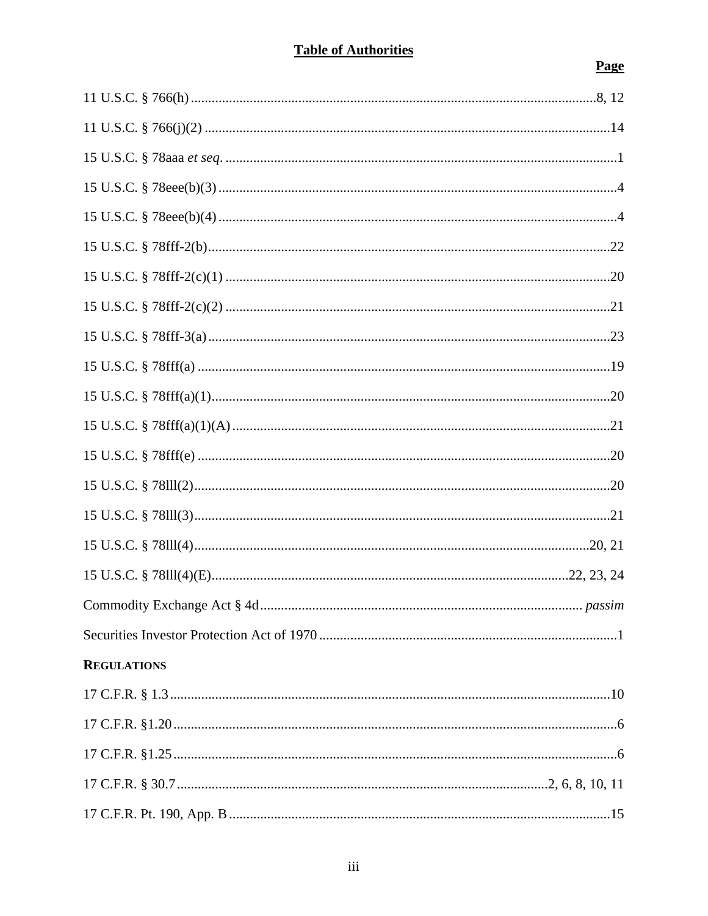# **Table of Authorities**

# **Page**

| <b>REGULATIONS</b> |  |
|--------------------|--|
|                    |  |
|                    |  |
|                    |  |
|                    |  |
|                    |  |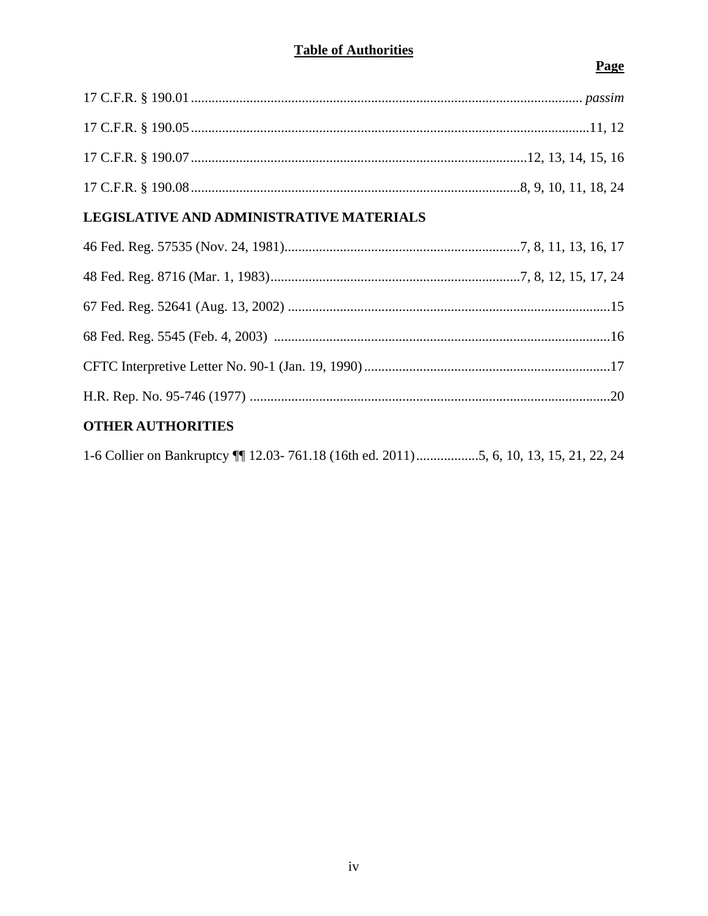| LEGISLATIVE AND ADMINISTRATIVE MATERIALS |  |  |  |
|------------------------------------------|--|--|--|
|                                          |  |  |  |
|                                          |  |  |  |
|                                          |  |  |  |
|                                          |  |  |  |
|                                          |  |  |  |
|                                          |  |  |  |
| <b>OTHER AUTHORITIES</b>                 |  |  |  |
|                                          |  |  |  |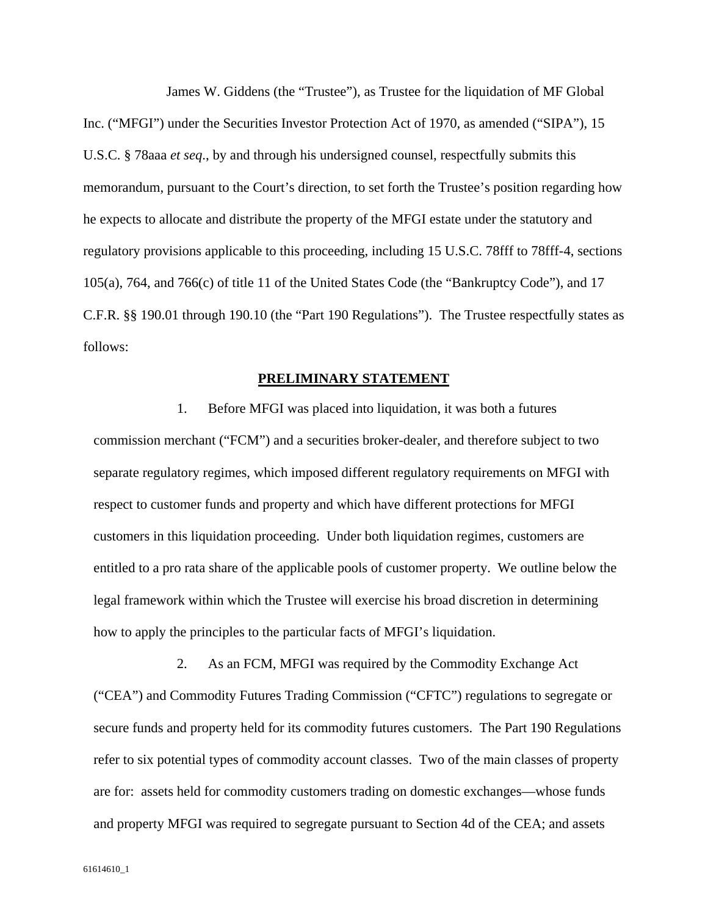James W. Giddens (the "Trustee"), as Trustee for the liquidation of MF Global Inc. ("MFGI") under the Securities Investor Protection Act of 1970, as amended ("SIPA"), 15 U.S.C. § 78aaa *et seq*., by and through his undersigned counsel, respectfully submits this memorandum, pursuant to the Court's direction, to set forth the Trustee's position regarding how he expects to allocate and distribute the property of the MFGI estate under the statutory and regulatory provisions applicable to this proceeding, including 15 U.S.C. 78fff to 78fff-4, sections 105(a), 764, and 766(c) of title 11 of the United States Code (the "Bankruptcy Code"), and 17 C.F.R. §§ 190.01 through 190.10 (the "Part 190 Regulations"). The Trustee respectfully states as follows:

#### **PRELIMINARY STATEMENT**

1. Before MFGI was placed into liquidation, it was both a futures commission merchant ("FCM") and a securities broker-dealer, and therefore subject to two separate regulatory regimes, which imposed different regulatory requirements on MFGI with respect to customer funds and property and which have different protections for MFGI customers in this liquidation proceeding. Under both liquidation regimes, customers are entitled to a pro rata share of the applicable pools of customer property. We outline below the legal framework within which the Trustee will exercise his broad discretion in determining how to apply the principles to the particular facts of MFGI's liquidation.

2. As an FCM, MFGI was required by the Commodity Exchange Act ("CEA") and Commodity Futures Trading Commission ("CFTC") regulations to segregate or secure funds and property held for its commodity futures customers. The Part 190 Regulations refer to six potential types of commodity account classes. Two of the main classes of property are for: assets held for commodity customers trading on domestic exchanges—whose funds and property MFGI was required to segregate pursuant to Section 4d of the CEA; and assets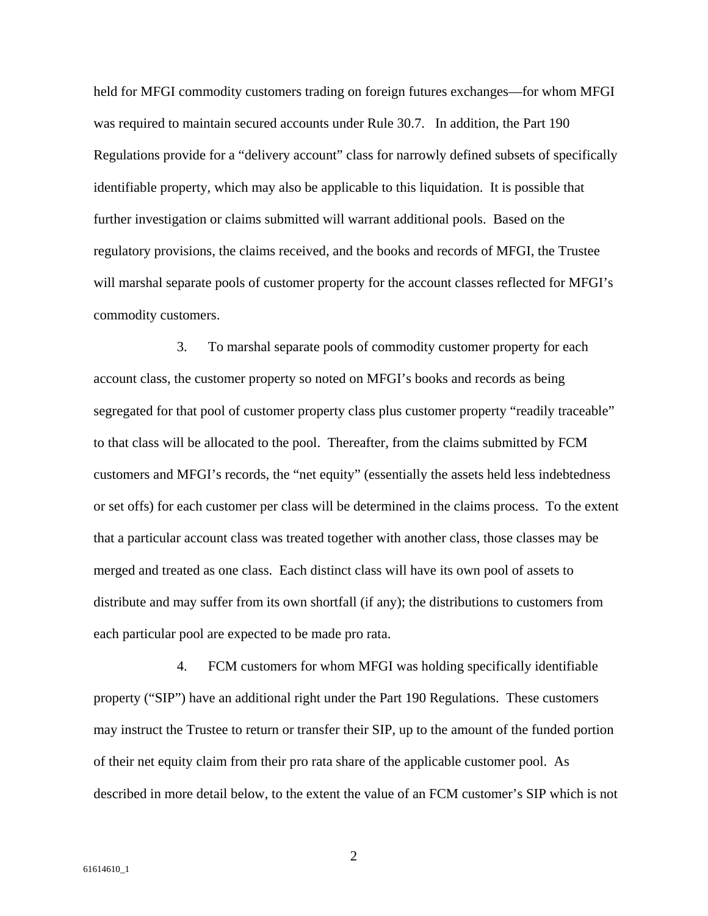held for MFGI commodity customers trading on foreign futures exchanges—for whom MFGI was required to maintain secured accounts under Rule 30.7. In addition, the Part 190 Regulations provide for a "delivery account" class for narrowly defined subsets of specifically identifiable property, which may also be applicable to this liquidation. It is possible that further investigation or claims submitted will warrant additional pools. Based on the regulatory provisions, the claims received, and the books and records of MFGI, the Trustee will marshal separate pools of customer property for the account classes reflected for MFGI's commodity customers.

3. To marshal separate pools of commodity customer property for each account class, the customer property so noted on MFGI's books and records as being segregated for that pool of customer property class plus customer property "readily traceable" to that class will be allocated to the pool. Thereafter, from the claims submitted by FCM customers and MFGI's records, the "net equity" (essentially the assets held less indebtedness or set offs) for each customer per class will be determined in the claims process. To the extent that a particular account class was treated together with another class, those classes may be merged and treated as one class. Each distinct class will have its own pool of assets to distribute and may suffer from its own shortfall (if any); the distributions to customers from each particular pool are expected to be made pro rata.

4. FCM customers for whom MFGI was holding specifically identifiable property ("SIP") have an additional right under the Part 190 Regulations. These customers may instruct the Trustee to return or transfer their SIP, up to the amount of the funded portion of their net equity claim from their pro rata share of the applicable customer pool. As described in more detail below, to the extent the value of an FCM customer's SIP which is not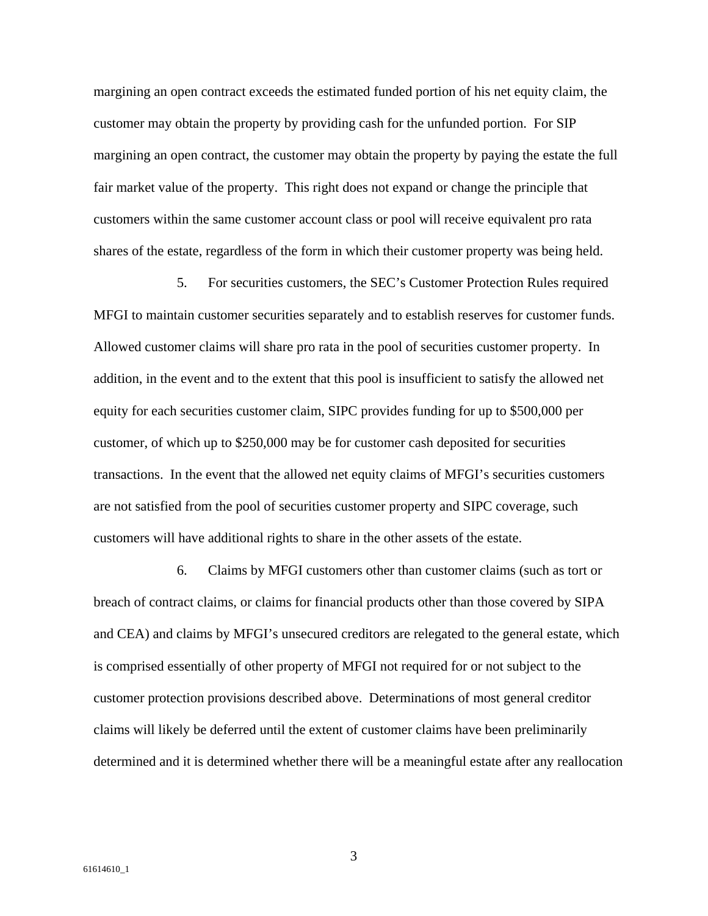margining an open contract exceeds the estimated funded portion of his net equity claim, the customer may obtain the property by providing cash for the unfunded portion. For SIP margining an open contract, the customer may obtain the property by paying the estate the full fair market value of the property. This right does not expand or change the principle that customers within the same customer account class or pool will receive equivalent pro rata shares of the estate, regardless of the form in which their customer property was being held.

5. For securities customers, the SEC's Customer Protection Rules required MFGI to maintain customer securities separately and to establish reserves for customer funds. Allowed customer claims will share pro rata in the pool of securities customer property. In addition, in the event and to the extent that this pool is insufficient to satisfy the allowed net equity for each securities customer claim, SIPC provides funding for up to \$500,000 per customer, of which up to \$250,000 may be for customer cash deposited for securities transactions. In the event that the allowed net equity claims of MFGI's securities customers are not satisfied from the pool of securities customer property and SIPC coverage, such customers will have additional rights to share in the other assets of the estate.

6. Claims by MFGI customers other than customer claims (such as tort or breach of contract claims, or claims for financial products other than those covered by SIPA and CEA) and claims by MFGI's unsecured creditors are relegated to the general estate, which is comprised essentially of other property of MFGI not required for or not subject to the customer protection provisions described above. Determinations of most general creditor claims will likely be deferred until the extent of customer claims have been preliminarily determined and it is determined whether there will be a meaningful estate after any reallocation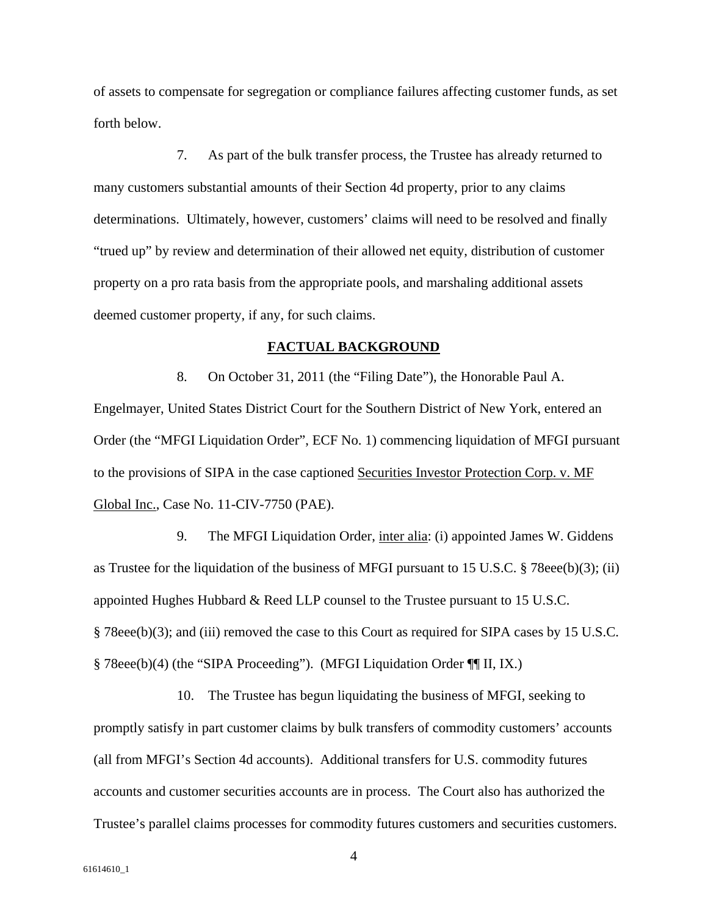of assets to compensate for segregation or compliance failures affecting customer funds, as set forth below.

7. As part of the bulk transfer process, the Trustee has already returned to many customers substantial amounts of their Section 4d property, prior to any claims determinations. Ultimately, however, customers' claims will need to be resolved and finally "trued up" by review and determination of their allowed net equity, distribution of customer property on a pro rata basis from the appropriate pools, and marshaling additional assets deemed customer property, if any, for such claims.

#### **FACTUAL BACKGROUND**

8. On October 31, 2011 (the "Filing Date"), the Honorable Paul A. Engelmayer, United States District Court for the Southern District of New York, entered an Order (the "MFGI Liquidation Order", ECF No. 1) commencing liquidation of MFGI pursuant to the provisions of SIPA in the case captioned Securities Investor Protection Corp. v. MF Global Inc., Case No. 11-CIV-7750 (PAE).

9. The MFGI Liquidation Order, inter alia: (i) appointed James W. Giddens as Trustee for the liquidation of the business of MFGI pursuant to 15 U.S.C. § 78eee(b)(3); (ii) appointed Hughes Hubbard & Reed LLP counsel to the Trustee pursuant to 15 U.S.C. § 78eee(b)(3); and (iii) removed the case to this Court as required for SIPA cases by 15 U.S.C. § 78eee(b)(4) (the "SIPA Proceeding"). (MFGI Liquidation Order ¶¶ II, IX.)

10. The Trustee has begun liquidating the business of MFGI, seeking to promptly satisfy in part customer claims by bulk transfers of commodity customers' accounts (all from MFGI's Section 4d accounts). Additional transfers for U.S. commodity futures accounts and customer securities accounts are in process. The Court also has authorized the Trustee's parallel claims processes for commodity futures customers and securities customers.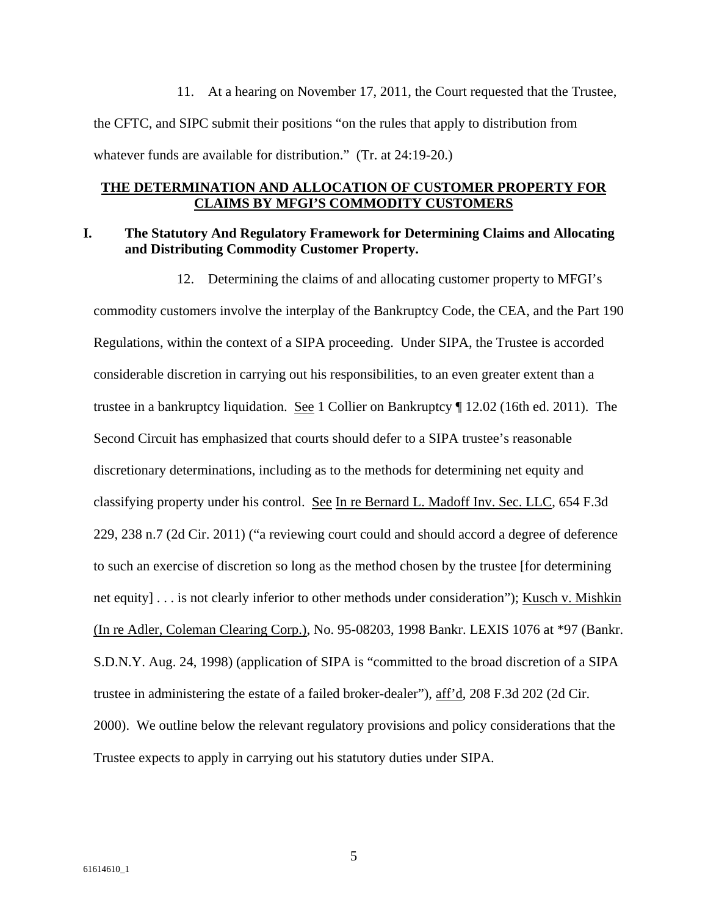11. At a hearing on November 17, 2011, the Court requested that the Trustee, the CFTC, and SIPC submit their positions "on the rules that apply to distribution from whatever funds are available for distribution." (Tr. at 24:19-20.)

#### **THE DETERMINATION AND ALLOCATION OF CUSTOMER PROPERTY FOR CLAIMS BY MFGI'S COMMODITY CUSTOMERS**

#### **I. The Statutory And Regulatory Framework for Determining Claims and Allocating and Distributing Commodity Customer Property.**

12. Determining the claims of and allocating customer property to MFGI's commodity customers involve the interplay of the Bankruptcy Code, the CEA, and the Part 190 Regulations, within the context of a SIPA proceeding. Under SIPA, the Trustee is accorded considerable discretion in carrying out his responsibilities, to an even greater extent than a trustee in a bankruptcy liquidation. See 1 Collier on Bankruptcy ¶ 12.02 (16th ed. 2011). The Second Circuit has emphasized that courts should defer to a SIPA trustee's reasonable discretionary determinations, including as to the methods for determining net equity and classifying property under his control. See In re Bernard L. Madoff Inv. Sec. LLC, 654 F.3d 229, 238 n.7 (2d Cir. 2011) ("a reviewing court could and should accord a degree of deference to such an exercise of discretion so long as the method chosen by the trustee [for determining net equity] . . . is not clearly inferior to other methods under consideration"); Kusch v. Mishkin (In re Adler, Coleman Clearing Corp.), No. 95-08203, 1998 Bankr. LEXIS 1076 at \*97 (Bankr. S.D.N.Y. Aug. 24, 1998) (application of SIPA is "committed to the broad discretion of a SIPA trustee in administering the estate of a failed broker-dealer"), aff'd, 208 F.3d 202 (2d Cir. 2000). We outline below the relevant regulatory provisions and policy considerations that the Trustee expects to apply in carrying out his statutory duties under SIPA.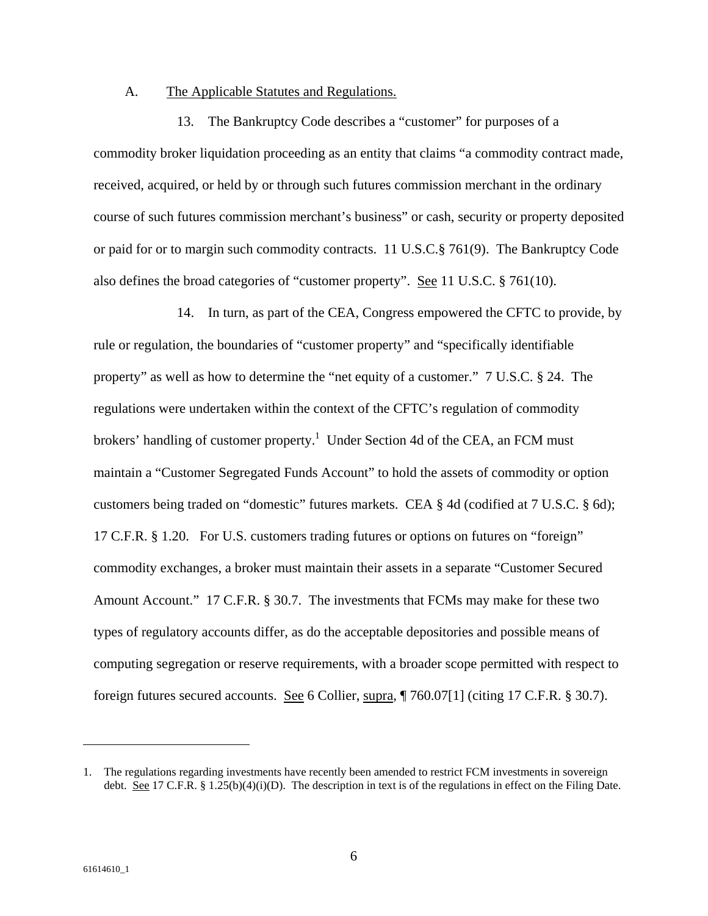#### A. The Applicable Statutes and Regulations.

13. The Bankruptcy Code describes a "customer" for purposes of a commodity broker liquidation proceeding as an entity that claims "a commodity contract made, received, acquired, or held by or through such futures commission merchant in the ordinary course of such futures commission merchant's business" or cash, security or property deposited or paid for or to margin such commodity contracts. 11 U.S.C.§ 761(9). The Bankruptcy Code also defines the broad categories of "customer property". See 11 U.S.C. § 761(10).

14. In turn, as part of the CEA, Congress empowered the CFTC to provide, by rule or regulation, the boundaries of "customer property" and "specifically identifiable property" as well as how to determine the "net equity of a customer." 7 U.S.C. § 24. The regulations were undertaken within the context of the CFTC's regulation of commodity brokers' handling of customer property.<sup>1</sup> Under Section 4d of the CEA, an FCM must maintain a "Customer Segregated Funds Account" to hold the assets of commodity or option customers being traded on "domestic" futures markets. CEA § 4d (codified at 7 U.S.C. § 6d); 17 C.F.R. § 1.20. For U.S. customers trading futures or options on futures on "foreign" commodity exchanges, a broker must maintain their assets in a separate "Customer Secured Amount Account." 17 C.F.R. § 30.7. The investments that FCMs may make for these two types of regulatory accounts differ, as do the acceptable depositories and possible means of computing segregation or reserve requirements, with a broader scope permitted with respect to foreign futures secured accounts. See 6 Collier, supra, ¶ 760.07[1] (citing 17 C.F.R. § 30.7).

<sup>1.</sup> The regulations regarding investments have recently been amended to restrict FCM investments in sovereign debt. See 17 C.F.R. § 1.25(b)(4)(i)(D). The description in text is of the regulations in effect on the Filing Date.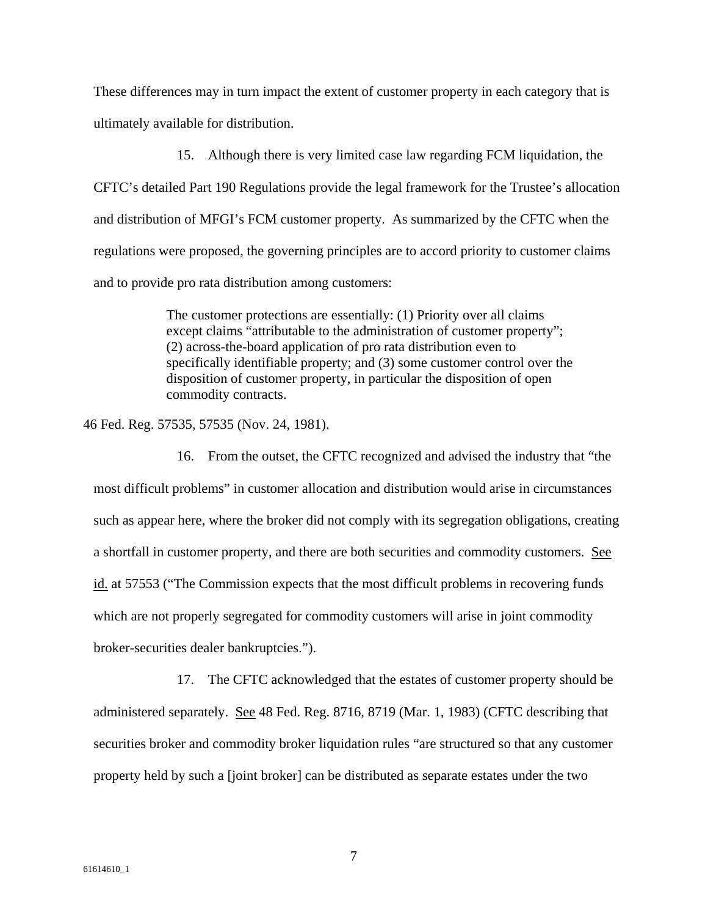These differences may in turn impact the extent of customer property in each category that is ultimately available for distribution.

15. Although there is very limited case law regarding FCM liquidation, the CFTC's detailed Part 190 Regulations provide the legal framework for the Trustee's allocation and distribution of MFGI's FCM customer property. As summarized by the CFTC when the regulations were proposed, the governing principles are to accord priority to customer claims and to provide pro rata distribution among customers:

> The customer protections are essentially: (1) Priority over all claims except claims "attributable to the administration of customer property"; (2) across-the-board application of pro rata distribution even to specifically identifiable property; and (3) some customer control over the disposition of customer property, in particular the disposition of open commodity contracts.

46 Fed. Reg. 57535, 57535 (Nov. 24, 1981).

16. From the outset, the CFTC recognized and advised the industry that "the most difficult problems" in customer allocation and distribution would arise in circumstances such as appear here, where the broker did not comply with its segregation obligations, creating a shortfall in customer property, and there are both securities and commodity customers. See id. at 57553 ("The Commission expects that the most difficult problems in recovering funds which are not properly segregated for commodity customers will arise in joint commodity broker-securities dealer bankruptcies.").

17. The CFTC acknowledged that the estates of customer property should be administered separately. See 48 Fed. Reg. 8716, 8719 (Mar. 1, 1983) (CFTC describing that securities broker and commodity broker liquidation rules "are structured so that any customer property held by such a [joint broker] can be distributed as separate estates under the two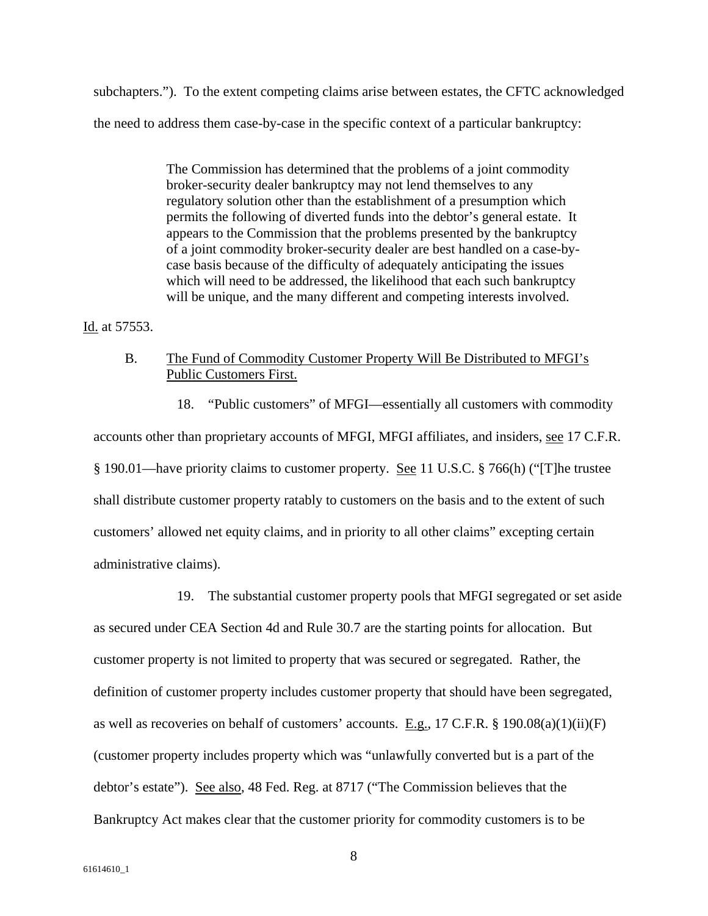subchapters."). To the extent competing claims arise between estates, the CFTC acknowledged the need to address them case-by-case in the specific context of a particular bankruptcy:

> The Commission has determined that the problems of a joint commodity broker-security dealer bankruptcy may not lend themselves to any regulatory solution other than the establishment of a presumption which permits the following of diverted funds into the debtor's general estate. It appears to the Commission that the problems presented by the bankruptcy of a joint commodity broker-security dealer are best handled on a case-bycase basis because of the difficulty of adequately anticipating the issues which will need to be addressed, the likelihood that each such bankruptcy will be unique, and the many different and competing interests involved.

Id. at 57553.

## B. The Fund of Commodity Customer Property Will Be Distributed to MFGI's Public Customers First.

18. "Public customers" of MFGI—essentially all customers with commodity accounts other than proprietary accounts of MFGI, MFGI affiliates, and insiders, see 17 C.F.R. § 190.01—have priority claims to customer property. See 11 U.S.C. § 766(h) ("[T]he trustee shall distribute customer property ratably to customers on the basis and to the extent of such customers' allowed net equity claims, and in priority to all other claims" excepting certain administrative claims).

#### 19. The substantial customer property pools that MFGI segregated or set aside

as secured under CEA Section 4d and Rule 30.7 are the starting points for allocation. But customer property is not limited to property that was secured or segregated. Rather, the definition of customer property includes customer property that should have been segregated, as well as recoveries on behalf of customers' accounts. E.g., 17 C.F.R.  $\S$  190.08(a)(1)(ii)(F) (customer property includes property which was "unlawfully converted but is a part of the debtor's estate"). See also, 48 Fed. Reg. at 8717 ("The Commission believes that the Bankruptcy Act makes clear that the customer priority for commodity customers is to be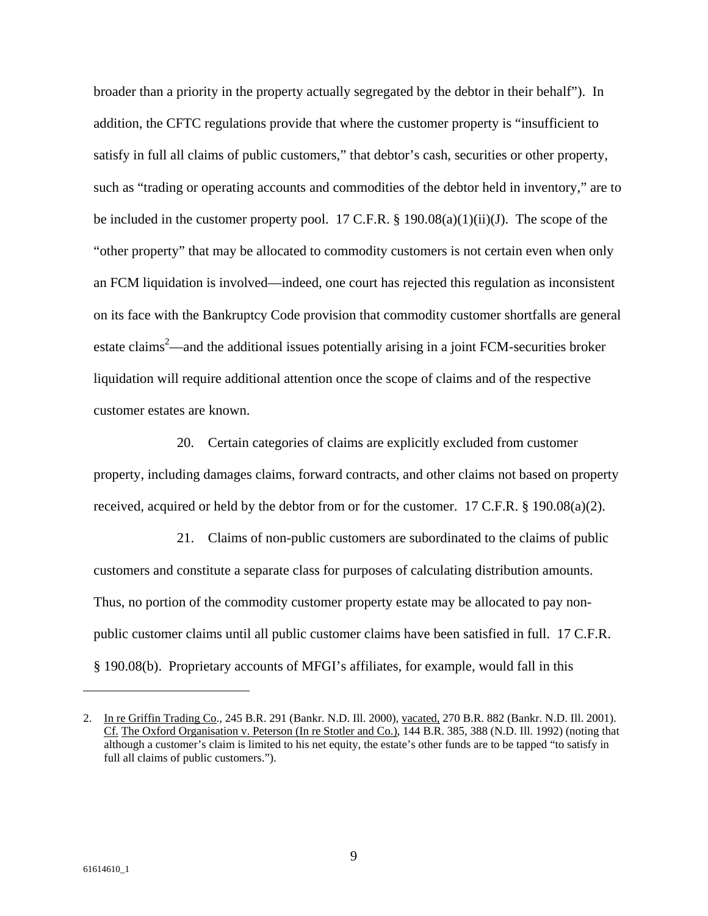broader than a priority in the property actually segregated by the debtor in their behalf"). In addition, the CFTC regulations provide that where the customer property is "insufficient to satisfy in full all claims of public customers," that debtor's cash, securities or other property, such as "trading or operating accounts and commodities of the debtor held in inventory," are to be included in the customer property pool. 17 C.F.R.  $\S$  190.08(a)(1)(ii)(J). The scope of the "other property" that may be allocated to commodity customers is not certain even when only an FCM liquidation is involved—indeed, one court has rejected this regulation as inconsistent on its face with the Bankruptcy Code provision that commodity customer shortfalls are general estate claims<sup>2</sup>—and the additional issues potentially arising in a joint FCM-securities broker liquidation will require additional attention once the scope of claims and of the respective customer estates are known.

20. Certain categories of claims are explicitly excluded from customer property, including damages claims, forward contracts, and other claims not based on property received, acquired or held by the debtor from or for the customer. 17 C.F.R.  $\S$  190.08(a)(2).

21. Claims of non-public customers are subordinated to the claims of public customers and constitute a separate class for purposes of calculating distribution amounts. Thus, no portion of the commodity customer property estate may be allocated to pay nonpublic customer claims until all public customer claims have been satisfied in full. 17 C.F.R. § 190.08(b). Proprietary accounts of MFGI's affiliates, for example, would fall in this

 $\overline{a}$ 

<sup>2.</sup> In re Griffin Trading Co., 245 B.R. 291 (Bankr. N.D. Ill. 2000), vacated, 270 B.R. 882 (Bankr. N.D. Ill. 2001). Cf. The Oxford Organisation v. Peterson (In re Stotler and Co.), 144 B.R. 385, 388 (N.D. Ill. 1992) (noting that although a customer's claim is limited to his net equity, the estate's other funds are to be tapped "to satisfy in full all claims of public customers.").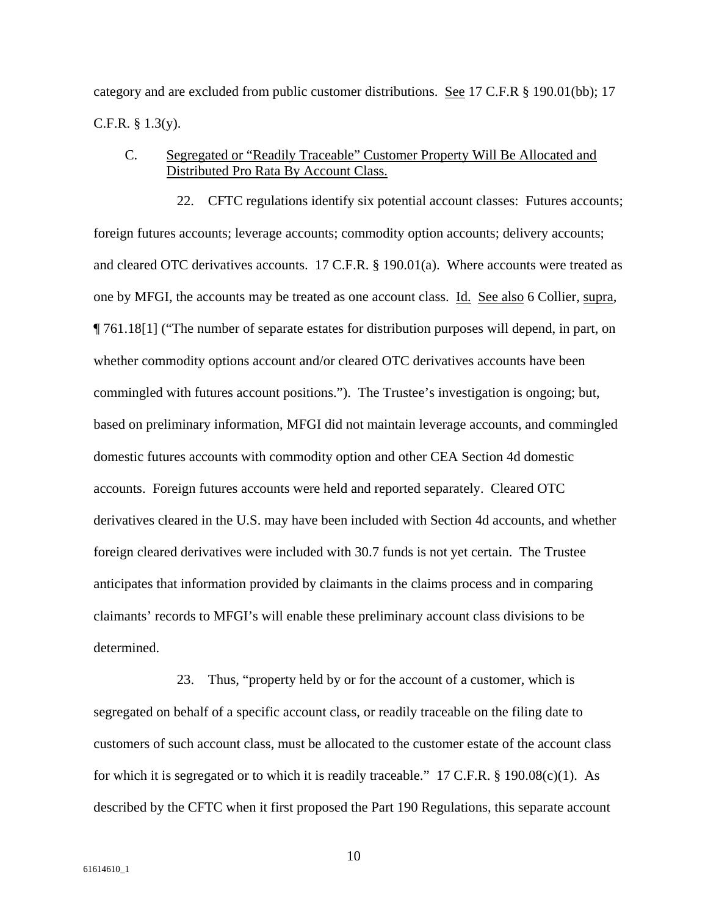category and are excluded from public customer distributions. See 17 C.F.R § 190.01(bb); 17 C.F.R. § 1.3(y).

## C. Segregated or "Readily Traceable" Customer Property Will Be Allocated and Distributed Pro Rata By Account Class.

22. CFTC regulations identify six potential account classes: Futures accounts; foreign futures accounts; leverage accounts; commodity option accounts; delivery accounts; and cleared OTC derivatives accounts. 17 C.F.R. § 190.01(a). Where accounts were treated as one by MFGI, the accounts may be treated as one account class. Id. See also 6 Collier, supra, ¶ 761.18[1] ("The number of separate estates for distribution purposes will depend, in part, on whether commodity options account and/or cleared OTC derivatives accounts have been commingled with futures account positions."). The Trustee's investigation is ongoing; but, based on preliminary information, MFGI did not maintain leverage accounts, and commingled domestic futures accounts with commodity option and other CEA Section 4d domestic accounts. Foreign futures accounts were held and reported separately. Cleared OTC derivatives cleared in the U.S. may have been included with Section 4d accounts, and whether foreign cleared derivatives were included with 30.7 funds is not yet certain. The Trustee anticipates that information provided by claimants in the claims process and in comparing claimants' records to MFGI's will enable these preliminary account class divisions to be determined.

23. Thus, "property held by or for the account of a customer, which is segregated on behalf of a specific account class, or readily traceable on the filing date to customers of such account class, must be allocated to the customer estate of the account class for which it is segregated or to which it is readily traceable." 17 C.F.R. § 190.08(c)(1). As described by the CFTC when it first proposed the Part 190 Regulations, this separate account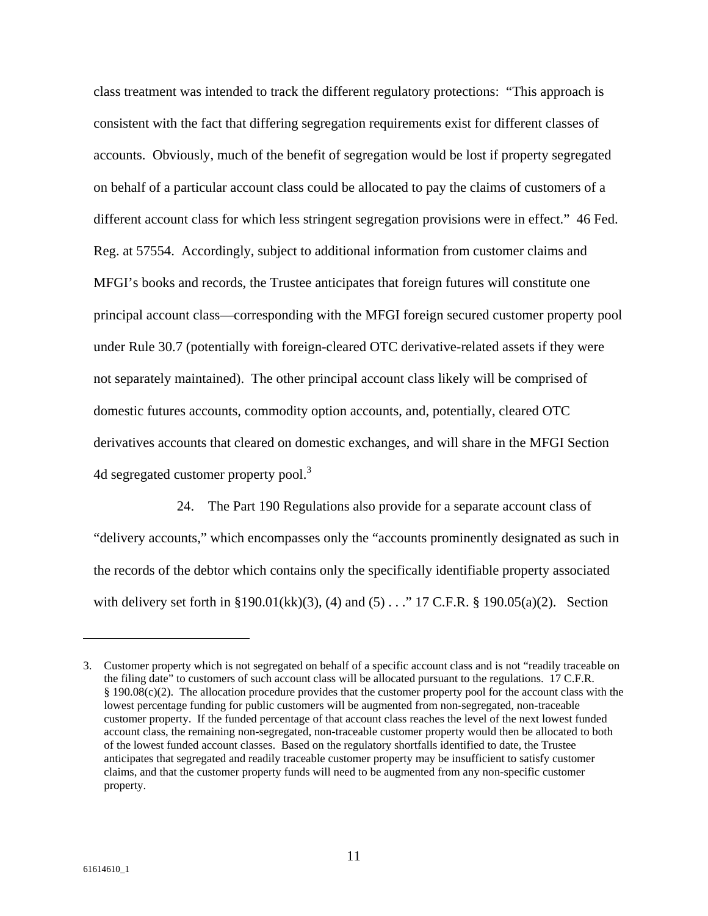class treatment was intended to track the different regulatory protections: "This approach is consistent with the fact that differing segregation requirements exist for different classes of accounts. Obviously, much of the benefit of segregation would be lost if property segregated on behalf of a particular account class could be allocated to pay the claims of customers of a different account class for which less stringent segregation provisions were in effect." 46 Fed. Reg. at 57554. Accordingly, subject to additional information from customer claims and MFGI's books and records, the Trustee anticipates that foreign futures will constitute one principal account class—corresponding with the MFGI foreign secured customer property pool under Rule 30.7 (potentially with foreign-cleared OTC derivative-related assets if they were not separately maintained). The other principal account class likely will be comprised of domestic futures accounts, commodity option accounts, and, potentially, cleared OTC derivatives accounts that cleared on domestic exchanges, and will share in the MFGI Section 4d segregated customer property pool.<sup>3</sup>

24. The Part 190 Regulations also provide for a separate account class of "delivery accounts," which encompasses only the "accounts prominently designated as such in the records of the debtor which contains only the specifically identifiable property associated with delivery set forth in §190.01(kk)(3), (4) and (5) . . . . " 17 C.F.R. § 190.05(a)(2). Section

<sup>3.</sup> Customer property which is not segregated on behalf of a specific account class and is not "readily traceable on the filing date" to customers of such account class will be allocated pursuant to the regulations. 17 C.F.R. § 190.08(c)(2). The allocation procedure provides that the customer property pool for the account class with the lowest percentage funding for public customers will be augmented from non-segregated, non-traceable customer property. If the funded percentage of that account class reaches the level of the next lowest funded account class, the remaining non-segregated, non-traceable customer property would then be allocated to both of the lowest funded account classes. Based on the regulatory shortfalls identified to date, the Trustee anticipates that segregated and readily traceable customer property may be insufficient to satisfy customer claims, and that the customer property funds will need to be augmented from any non-specific customer property.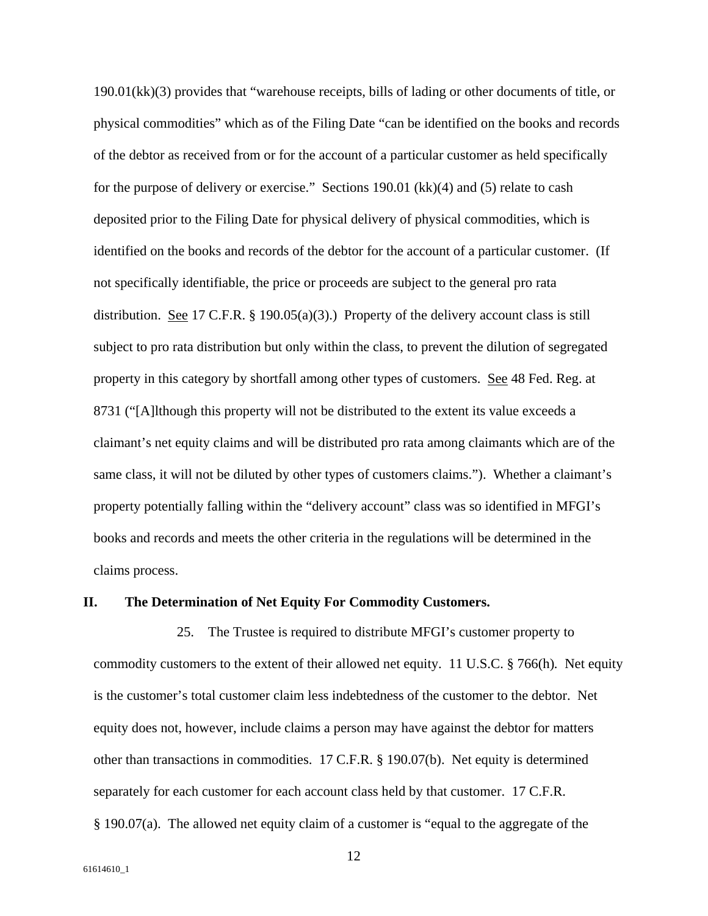190.01(kk)(3) provides that "warehouse receipts, bills of lading or other documents of title, or physical commodities" which as of the Filing Date "can be identified on the books and records of the debtor as received from or for the account of a particular customer as held specifically for the purpose of delivery or exercise." Sections 190.01 (kk)(4) and (5) relate to cash deposited prior to the Filing Date for physical delivery of physical commodities, which is identified on the books and records of the debtor for the account of a particular customer. (If not specifically identifiable, the price or proceeds are subject to the general pro rata distribution. See 17 C.F.R. § 190.05(a)(3).) Property of the delivery account class is still subject to pro rata distribution but only within the class, to prevent the dilution of segregated property in this category by shortfall among other types of customers. See 48 Fed. Reg. at 8731 ("[A]lthough this property will not be distributed to the extent its value exceeds a claimant's net equity claims and will be distributed pro rata among claimants which are of the same class, it will not be diluted by other types of customers claims."). Whether a claimant's property potentially falling within the "delivery account" class was so identified in MFGI's books and records and meets the other criteria in the regulations will be determined in the claims process.

#### **II. The Determination of Net Equity For Commodity Customers.**

25. The Trustee is required to distribute MFGI's customer property to commodity customers to the extent of their allowed net equity. 11 U.S.C. § 766(h)*.* Net equity is the customer's total customer claim less indebtedness of the customer to the debtor. Net equity does not, however, include claims a person may have against the debtor for matters other than transactions in commodities. 17 C.F.R. § 190.07(b). Net equity is determined separately for each customer for each account class held by that customer. 17 C.F.R. § 190.07(a). The allowed net equity claim of a customer is "equal to the aggregate of the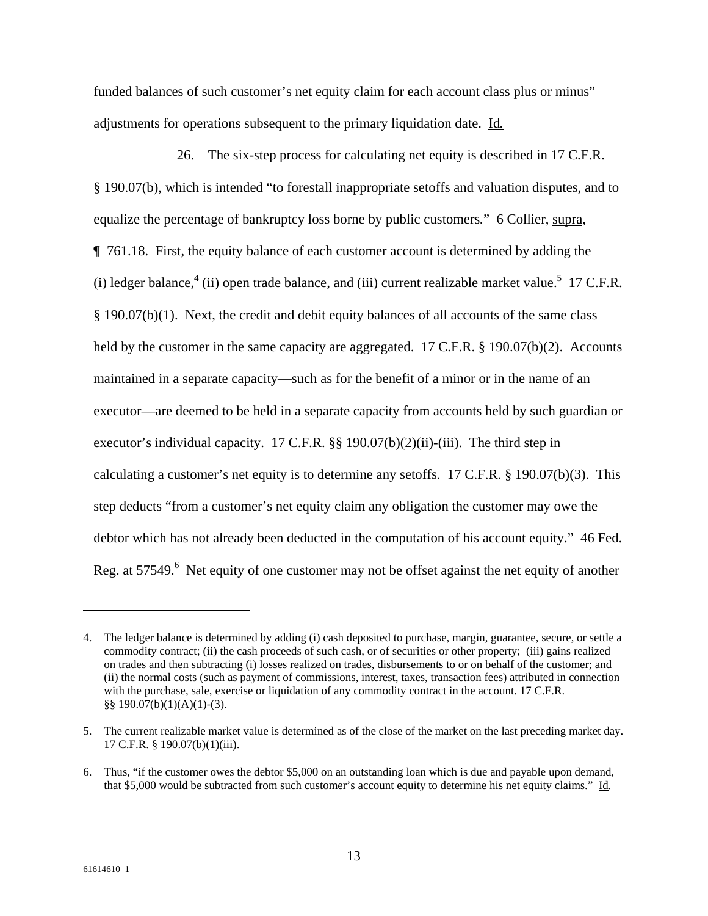funded balances of such customer's net equity claim for each account class plus or minus" adjustments for operations subsequent to the primary liquidation date. Id*.*

26. The six-step process for calculating net equity is described in 17 C.F.R. § 190.07(b), which is intended "to forestall inappropriate setoffs and valuation disputes, and to equalize the percentage of bankruptcy loss borne by public customers*.*" 6 Collier, supra, ¶ 761.18. First, the equity balance of each customer account is determined by adding the (i) ledger balance,  $4$  (ii) open trade balance, and (iii) current realizable market value.<sup>5</sup> 17 C.F.R. § 190.07(b)(1).Next, the credit and debit equity balances of all accounts of the same class held by the customer in the same capacity are aggregated. 17 C.F.R. § 190.07(b)(2). Accounts maintained in a separate capacity—such as for the benefit of a minor or in the name of an executor—are deemed to be held in a separate capacity from accounts held by such guardian or executor's individual capacity. 17 C.F.R. §§ 190.07(b)(2)(ii)-(iii). The third step in calculating a customer's net equity is to determine any setoffs. 17 C.F.R. § 190.07(b)(3).This step deducts "from a customer's net equity claim any obligation the customer may owe the debtor which has not already been deducted in the computation of his account equity." 46 Fed. Reg. at 57549.<sup>6</sup> Net equity of one customer may not be offset against the net equity of another

<sup>4.</sup> The ledger balance is determined by adding (i) cash deposited to purchase, margin, guarantee, secure, or settle a commodity contract; (ii) the cash proceeds of such cash, or of securities or other property; (iii) gains realized on trades and then subtracting (i) losses realized on trades, disbursements to or on behalf of the customer; and (ii) the normal costs (such as payment of commissions, interest, taxes, transaction fees) attributed in connection with the purchase, sale, exercise or liquidation of any commodity contract in the account. 17 C.F.R. §§ 190.07(b)(1)(A)(1)-(3).

<sup>5.</sup> The current realizable market value is determined as of the close of the market on the last preceding market day. 17 C.F.R. § 190.07(b)(1)(iii).

<sup>6.</sup> Thus, "if the customer owes the debtor \$5,000 on an outstanding loan which is due and payable upon demand, that \$5,000 would be subtracted from such customer's account equity to determine his net equity claims." Id*.*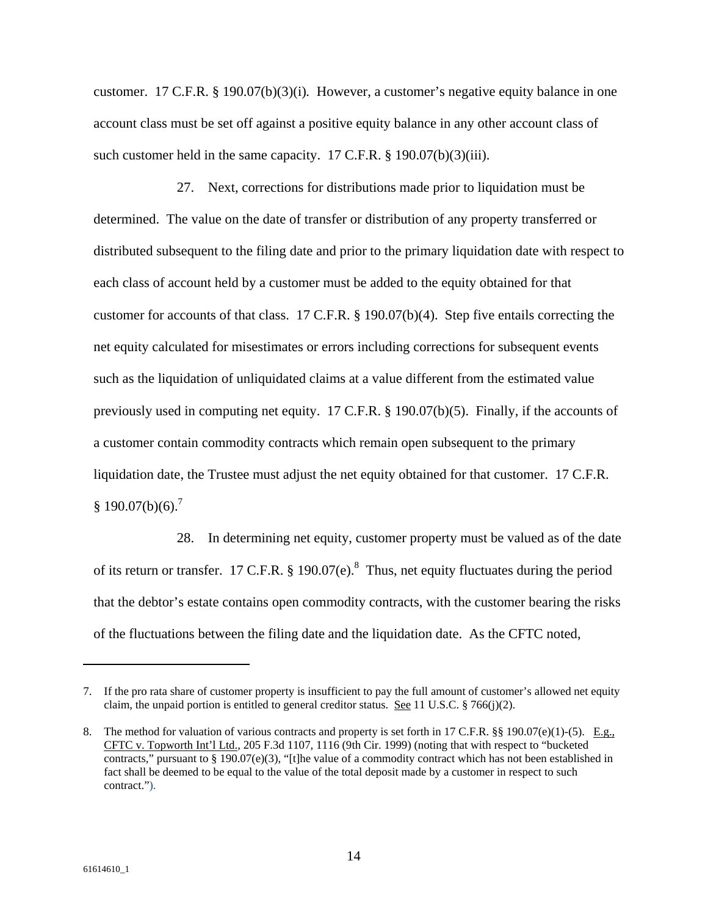customer. 17 C.F.R. § 190.07(b)(3)(i)*.* However, a customer's negative equity balance in one account class must be set off against a positive equity balance in any other account class of such customer held in the same capacity. 17 C.F.R. § 190.07(b)(3)(iii).

27. Next, corrections for distributions made prior to liquidation must be determined. The value on the date of transfer or distribution of any property transferred or distributed subsequent to the filing date and prior to the primary liquidation date with respect to each class of account held by a customer must be added to the equity obtained for that customer for accounts of that class. 17 C.F.R. § 190.07(b)(4).Step five entails correcting the net equity calculated for misestimates or errors including corrections for subsequent events such as the liquidation of unliquidated claims at a value different from the estimated value previously used in computing net equity. 17 C.F.R. § 190.07(b)(5). Finally, if the accounts of a customer contain commodity contracts which remain open subsequent to the primary liquidation date, the Trustee must adjust the net equity obtained for that customer. 17 C.F.R.  $§ 190.07(b)(6).^{7}$ 

28. In determining net equity, customer property must be valued as of the date of its return or transfer. 17 C.F.R. § 190.07(e).<sup>8</sup> Thus, net equity fluctuates during the period that the debtor's estate contains open commodity contracts, with the customer bearing the risks of the fluctuations between the filing date and the liquidation date. As the CFTC noted,

<sup>7.</sup> If the pro rata share of customer property is insufficient to pay the full amount of customer's allowed net equity claim, the unpaid portion is entitled to general creditor status. See 11 U.S.C.  $\S 766(j)(2)$ .

<sup>8.</sup> The method for valuation of various contracts and property is set forth in 17 C.F.R. §§ 190.07(e)(1)-(5). E.g., CFTC v. Topworth Int'l Ltd., 205 F.3d 1107, 1116 (9th Cir. 1999) (noting that with respect to "bucketed contracts," pursuant to § 190.07(e)(3), "[t]he value of a commodity contract which has not been established in fact shall be deemed to be equal to the value of the total deposit made by a customer in respect to such contract.").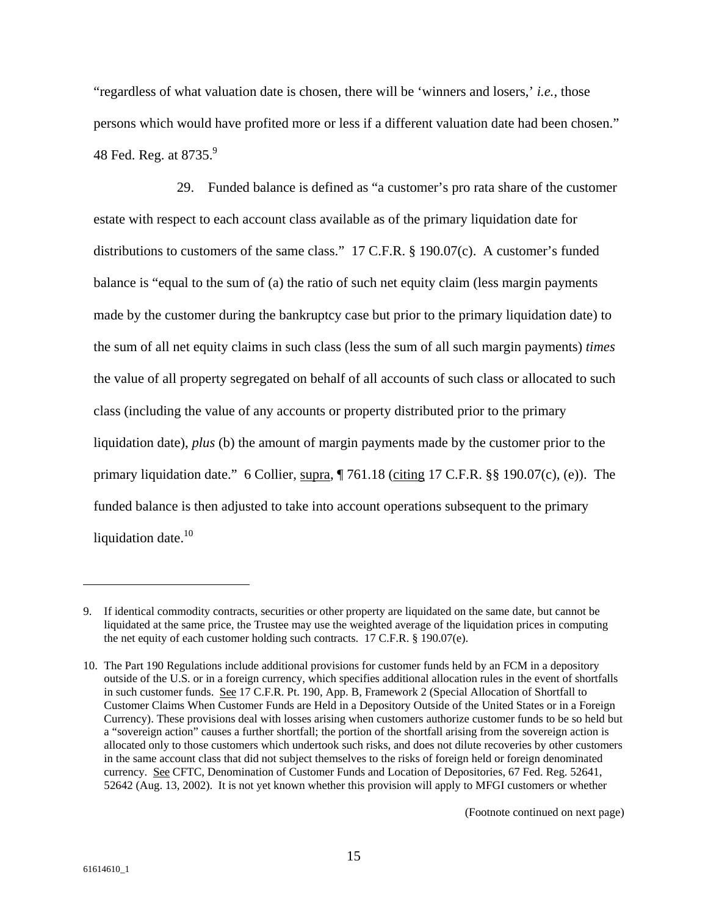"regardless of what valuation date is chosen, there will be 'winners and losers,' *i.e.,* those persons which would have profited more or less if a different valuation date had been chosen." 48 Fed. Reg. at  $8735.<sup>9</sup>$ 

29. Funded balance is defined as "a customer's pro rata share of the customer estate with respect to each account class available as of the primary liquidation date for distributions to customers of the same class." 17 C.F.R. § 190.07(c). A customer's funded balance is "equal to the sum of (a) the ratio of such net equity claim (less margin payments made by the customer during the bankruptcy case but prior to the primary liquidation date) to the sum of all net equity claims in such class (less the sum of all such margin payments) *times*  the value of all property segregated on behalf of all accounts of such class or allocated to such class (including the value of any accounts or property distributed prior to the primary liquidation date), *plus* (b) the amount of margin payments made by the customer prior to the primary liquidation date." 6 Collier, supra, ¶ 761.18 (citing 17 C.F.R. §§ 190.07(c), (e)). The funded balance is then adjusted to take into account operations subsequent to the primary liquidation date.<sup>10</sup>

<sup>9.</sup> If identical commodity contracts, securities or other property are liquidated on the same date, but cannot be liquidated at the same price, the Trustee may use the weighted average of the liquidation prices in computing the net equity of each customer holding such contracts. 17 C.F.R. § 190.07(e).

<sup>10.</sup> The Part 190 Regulations include additional provisions for customer funds held by an FCM in a depository outside of the U.S. or in a foreign currency, which specifies additional allocation rules in the event of shortfalls in such customer funds. See 17 C.F.R. Pt. 190, App. B, Framework 2 (Special Allocation of Shortfall to Customer Claims When Customer Funds are Held in a Depository Outside of the United States or in a Foreign Currency). These provisions deal with losses arising when customers authorize customer funds to be so held but a "sovereign action" causes a further shortfall; the portion of the shortfall arising from the sovereign action is allocated only to those customers which undertook such risks, and does not dilute recoveries by other customers in the same account class that did not subject themselves to the risks of foreign held or foreign denominated currency. See CFTC, Denomination of Customer Funds and Location of Depositories, 67 Fed. Reg. 52641, 52642 (Aug. 13, 2002). It is not yet known whether this provision will apply to MFGI customers or whether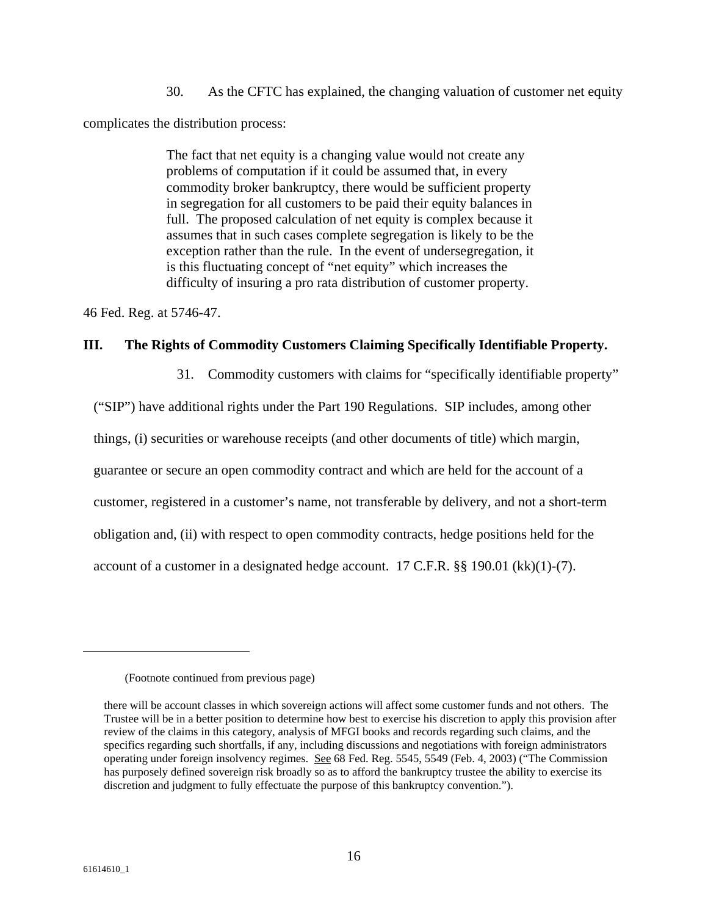30. As the CFTC has explained, the changing valuation of customer net equity complicates the distribution process:

> The fact that net equity is a changing value would not create any problems of computation if it could be assumed that, in every commodity broker bankruptcy, there would be sufficient property in segregation for all customers to be paid their equity balances in full. The proposed calculation of net equity is complex because it assumes that in such cases complete segregation is likely to be the exception rather than the rule. In the event of undersegregation, it is this fluctuating concept of "net equity" which increases the difficulty of insuring a pro rata distribution of customer property.

46 Fed. Reg. at 5746-47.

### **III. The Rights of Commodity Customers Claiming Specifically Identifiable Property.**

31. Commodity customers with claims for "specifically identifiable property"

("SIP") have additional rights under the Part 190 Regulations. SIP includes, among other

things, (i) securities or warehouse receipts (and other documents of title) which margin,

guarantee or secure an open commodity contract and which are held for the account of a

customer, registered in a customer's name, not transferable by delivery, and not a short-term

obligation and, (ii) with respect to open commodity contracts, hedge positions held for the

account of a customer in a designated hedge account. 17 C.F.R. §§ 190.01 (kk)(1)-(7).

<sup>(</sup>Footnote continued from previous page)

there will be account classes in which sovereign actions will affect some customer funds and not others. The Trustee will be in a better position to determine how best to exercise his discretion to apply this provision after review of the claims in this category, analysis of MFGI books and records regarding such claims, and the specifics regarding such shortfalls, if any, including discussions and negotiations with foreign administrators operating under foreign insolvency regimes. See 68 Fed. Reg. 5545, 5549 (Feb. 4, 2003) ("The Commission has purposely defined sovereign risk broadly so as to afford the bankruptcy trustee the ability to exercise its discretion and judgment to fully effectuate the purpose of this bankruptcy convention.").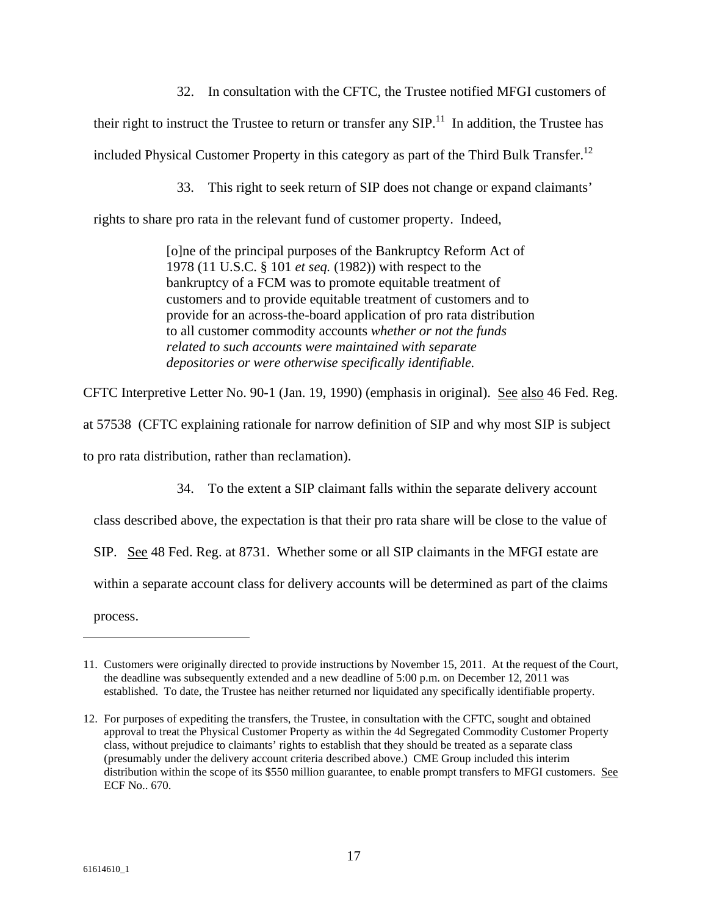32. In consultation with the CFTC, the Trustee notified MFGI customers of

their right to instruct the Trustee to return or transfer any  $SIP$ <sup>11</sup>. In addition, the Trustee has

included Physical Customer Property in this category as part of the Third Bulk Transfer.<sup>12</sup>

33. This right to seek return of SIP does not change or expand claimants'

rights to share pro rata in the relevant fund of customer property. Indeed,

[o]ne of the principal purposes of the Bankruptcy Reform Act of 1978 (11 U.S.C. § 101 *et seq.* (1982)) with respect to the bankruptcy of a FCM was to promote equitable treatment of customers and to provide equitable treatment of customers and to provide for an across-the-board application of pro rata distribution to all customer commodity accounts *whether or not the funds related to such accounts were maintained with separate depositories or were otherwise specifically identifiable.* 

CFTC Interpretive Letter No. 90-1 (Jan. 19, 1990) (emphasis in original). See also 46 Fed. Reg.

at 57538 (CFTC explaining rationale for narrow definition of SIP and why most SIP is subject

to pro rata distribution, rather than reclamation).

34. To the extent a SIP claimant falls within the separate delivery account

class described above, the expectation is that their pro rata share will be close to the value of

SIP. See 48 Fed. Reg. at 8731. Whether some or all SIP claimants in the MFGI estate are

within a separate account class for delivery accounts will be determined as part of the claims

process.

<sup>11.</sup> Customers were originally directed to provide instructions by November 15, 2011. At the request of the Court, the deadline was subsequently extended and a new deadline of 5:00 p.m. on December 12, 2011 was established. To date, the Trustee has neither returned nor liquidated any specifically identifiable property.

<sup>12.</sup> For purposes of expediting the transfers, the Trustee, in consultation with the CFTC, sought and obtained approval to treat the Physical Customer Property as within the 4d Segregated Commodity Customer Property class, without prejudice to claimants' rights to establish that they should be treated as a separate class (presumably under the delivery account criteria described above.) CME Group included this interim distribution within the scope of its \$550 million guarantee, to enable prompt transfers to MFGI customers. See ECF No.. 670.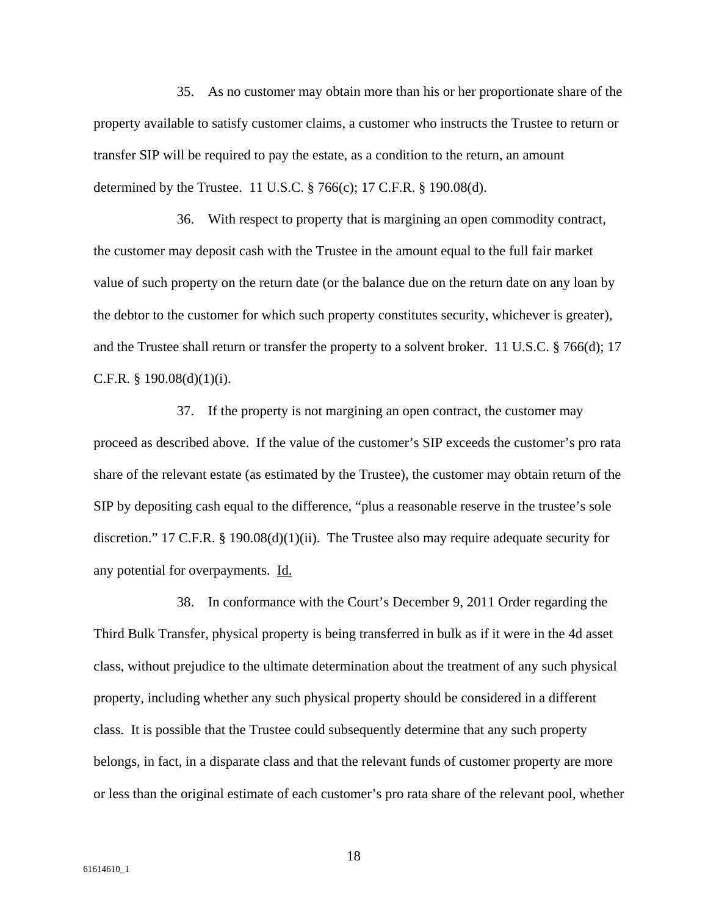35. As no customer may obtain more than his or her proportionate share of the property available to satisfy customer claims, a customer who instructs the Trustee to return or transfer SIP will be required to pay the estate, as a condition to the return, an amount determined by the Trustee. 11 U.S.C. § 766(c); 17 C.F.R. § 190.08(d).

36. With respect to property that is margining an open commodity contract, the customer may deposit cash with the Trustee in the amount equal to the full fair market value of such property on the return date (or the balance due on the return date on any loan by the debtor to the customer for which such property constitutes security, whichever is greater), and the Trustee shall return or transfer the property to a solvent broker. 11 U.S.C. § 766(d); 17 C.F.R.  $\S$  190.08(d)(1)(i).

37. If the property is not margining an open contract, the customer may proceed as described above. If the value of the customer's SIP exceeds the customer's pro rata share of the relevant estate (as estimated by the Trustee), the customer may obtain return of the SIP by depositing cash equal to the difference, "plus a reasonable reserve in the trustee's sole discretion." 17 C.F.R. § 190.08(d)(1)(ii). The Trustee also may require adequate security for any potential for overpayments. Id.

38. In conformance with the Court's December 9, 2011 Order regarding the Third Bulk Transfer, physical property is being transferred in bulk as if it were in the 4d asset class, without prejudice to the ultimate determination about the treatment of any such physical property, including whether any such physical property should be considered in a different class. It is possible that the Trustee could subsequently determine that any such property belongs, in fact, in a disparate class and that the relevant funds of customer property are more or less than the original estimate of each customer's pro rata share of the relevant pool, whether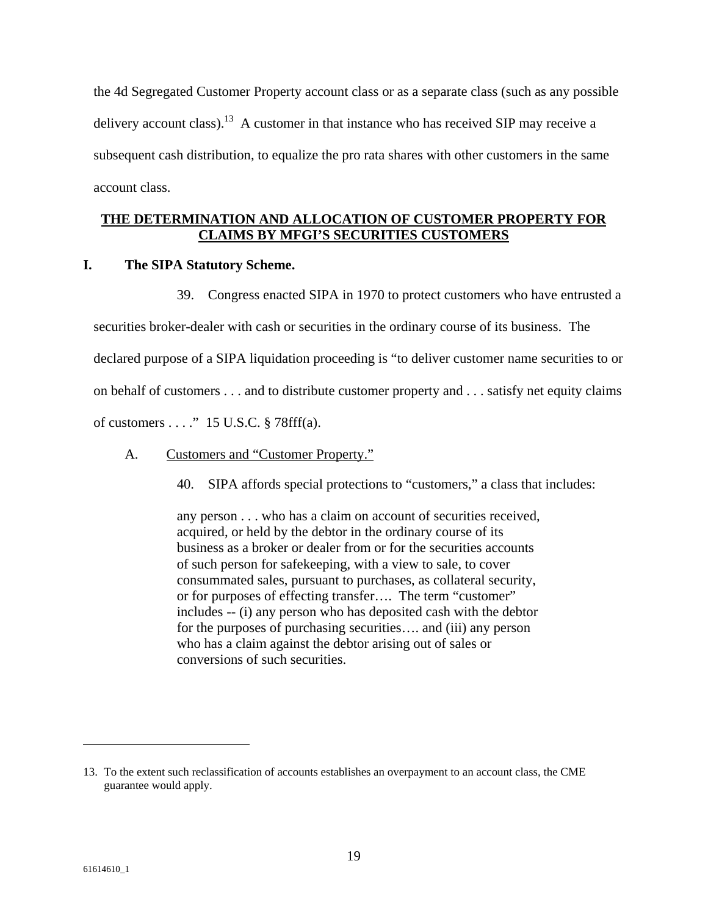the 4d Segregated Customer Property account class or as a separate class (such as any possible delivery account class).<sup>13</sup> A customer in that instance who has received SIP may receive a subsequent cash distribution, to equalize the pro rata shares with other customers in the same account class.

### **THE DETERMINATION AND ALLOCATION OF CUSTOMER PROPERTY FOR CLAIMS BY MFGI'S SECURITIES CUSTOMERS**

#### **I. The SIPA Statutory Scheme.**

39. Congress enacted SIPA in 1970 to protect customers who have entrusted a

securities broker-dealer with cash or securities in the ordinary course of its business. The declared purpose of a SIPA liquidation proceeding is "to deliver customer name securities to or on behalf of customers . . . and to distribute customer property and . . . satisfy net equity claims of customers . . . ." 15 U.S.C. § 78fff(a).

- A. Customers and "Customer Property."
	- 40. SIPA affords special protections to "customers," a class that includes:

any person . . . who has a claim on account of securities received, acquired, or held by the debtor in the ordinary course of its business as a broker or dealer from or for the securities accounts of such person for safekeeping, with a view to sale, to cover consummated sales, pursuant to purchases, as collateral security, or for purposes of effecting transfer…. The term "customer" includes -- (i) any person who has deposited cash with the debtor for the purposes of purchasing securities…. and (iii) any person who has a claim against the debtor arising out of sales or conversions of such securities.

<sup>13.</sup> To the extent such reclassification of accounts establishes an overpayment to an account class, the CME guarantee would apply.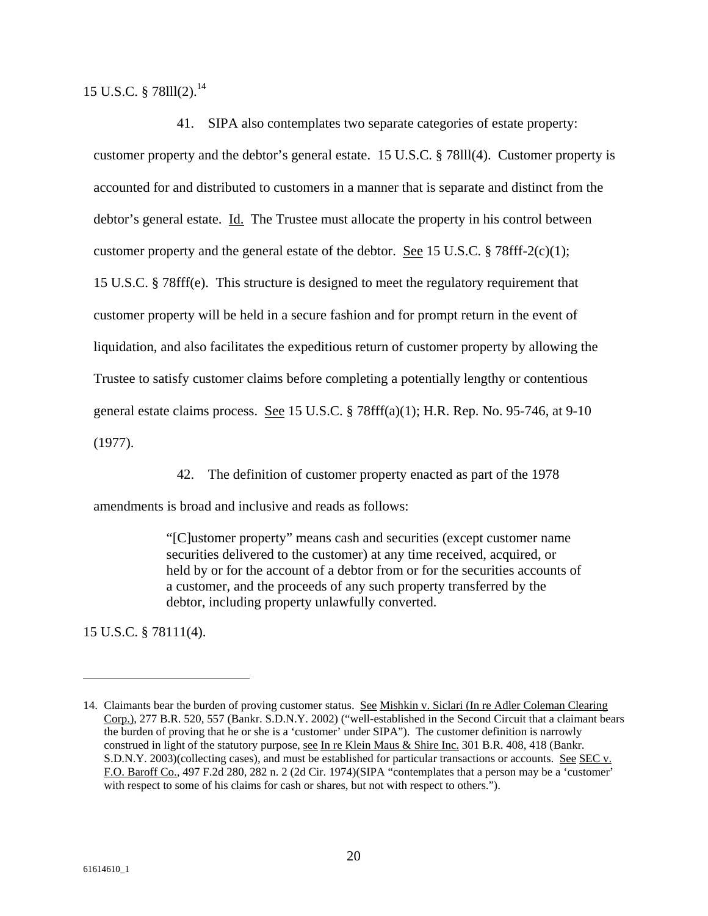15 U.S.C. § 78lll(2).14

41. SIPA also contemplates two separate categories of estate property: customer property and the debtor's general estate. 15 U.S.C. § 78lll(4). Customer property is accounted for and distributed to customers in a manner that is separate and distinct from the debtor's general estate. Id. The Trustee must allocate the property in his control between customer property and the general estate of the debtor. <u>See</u> 15 U.S.C. § 78fff-2(c)(1); 15 U.S.C. § 78fff(e). This structure is designed to meet the regulatory requirement that customer property will be held in a secure fashion and for prompt return in the event of liquidation, and also facilitates the expeditious return of customer property by allowing the Trustee to satisfy customer claims before completing a potentially lengthy or contentious general estate claims process. See 15 U.S.C. § 78fff(a)(1); H.R. Rep. No. 95-746, at 9-10 (1977).

42. The definition of customer property enacted as part of the 1978

amendments is broad and inclusive and reads as follows:

"[C]ustomer property" means cash and securities (except customer name securities delivered to the customer) at any time received, acquired, or held by or for the account of a debtor from or for the securities accounts of a customer, and the proceeds of any such property transferred by the debtor, including property unlawfully converted.

15 U.S.C. § 78111(4).

<sup>14.</sup> Claimants bear the burden of proving customer status. See Mishkin v. Siclari (In re Adler Coleman Clearing Corp.), 277 B.R. 520, 557 (Bankr. S.D.N.Y. 2002) ("well-established in the Second Circuit that a claimant bears the burden of proving that he or she is a 'customer' under SIPA"). The customer definition is narrowly construed in light of the statutory purpose, see In re Klein Maus & Shire Inc. 301 B.R. 408, 418 (Bankr. S.D.N.Y. 2003)(collecting cases), and must be established for particular transactions or accounts. See SEC v. F.O. Baroff Co., 497 F.2d 280, 282 n. 2 (2d Cir. 1974)(SIPA "contemplates that a person may be a 'customer' with respect to some of his claims for cash or shares, but not with respect to others.").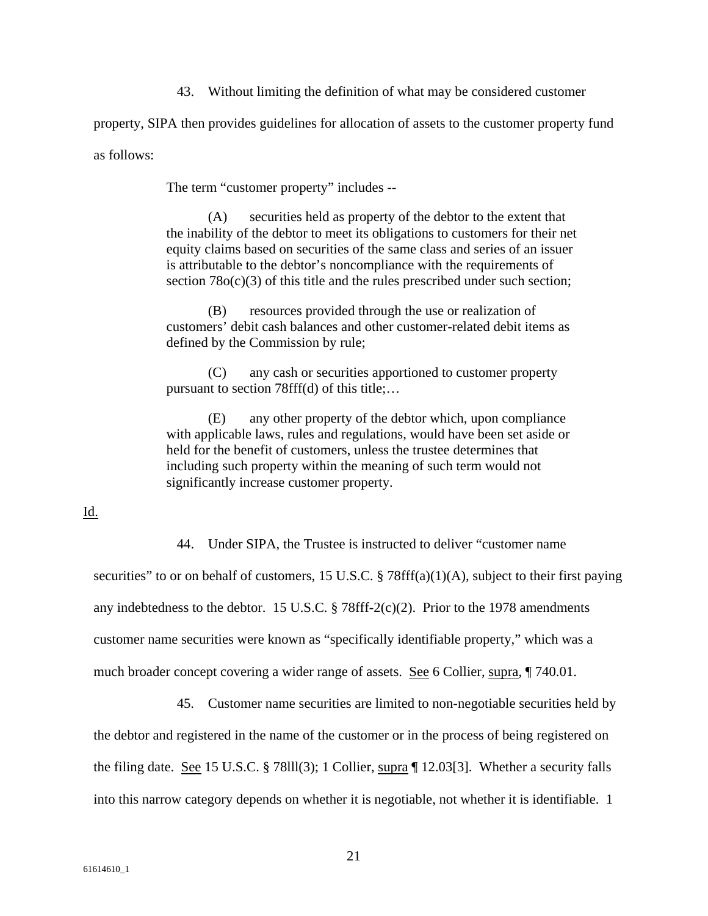43. Without limiting the definition of what may be considered customer

property, SIPA then provides guidelines for allocation of assets to the customer property fund as follows:

The term "customer property" includes --

(A) securities held as property of the debtor to the extent that the inability of the debtor to meet its obligations to customers for their net equity claims based on securities of the same class and series of an issuer is attributable to the debtor's noncompliance with the requirements of section 78 $o(c)(3)$  of this title and the rules prescribed under such section;

(B) resources provided through the use or realization of customers' debit cash balances and other customer-related debit items as defined by the Commission by rule;

(C) any cash or securities apportioned to customer property pursuant to section 78fff(d) of this title;…

(E) any other property of the debtor which, upon compliance with applicable laws, rules and regulations, would have been set aside or held for the benefit of customers, unless the trustee determines that including such property within the meaning of such term would not significantly increase customer property.

Id.

44. Under SIPA, the Trustee is instructed to deliver "customer name

securities" to or on behalf of customers, 15 U.S.C. § 78fff(a)(1)(A), subject to their first paying any indebtedness to the debtor. 15 U.S.C.  $\S$  78fff-2(c)(2). Prior to the 1978 amendments customer name securities were known as "specifically identifiable property," which was a much broader concept covering a wider range of assets. See 6 Collier, supra, ¶ 740.01.

45. Customer name securities are limited to non-negotiable securities held by the debtor and registered in the name of the customer or in the process of being registered on the filing date. See 15 U.S.C. § 78111(3); 1 Collier, supra  $\P$  12.03[3]. Whether a security falls into this narrow category depends on whether it is negotiable, not whether it is identifiable. 1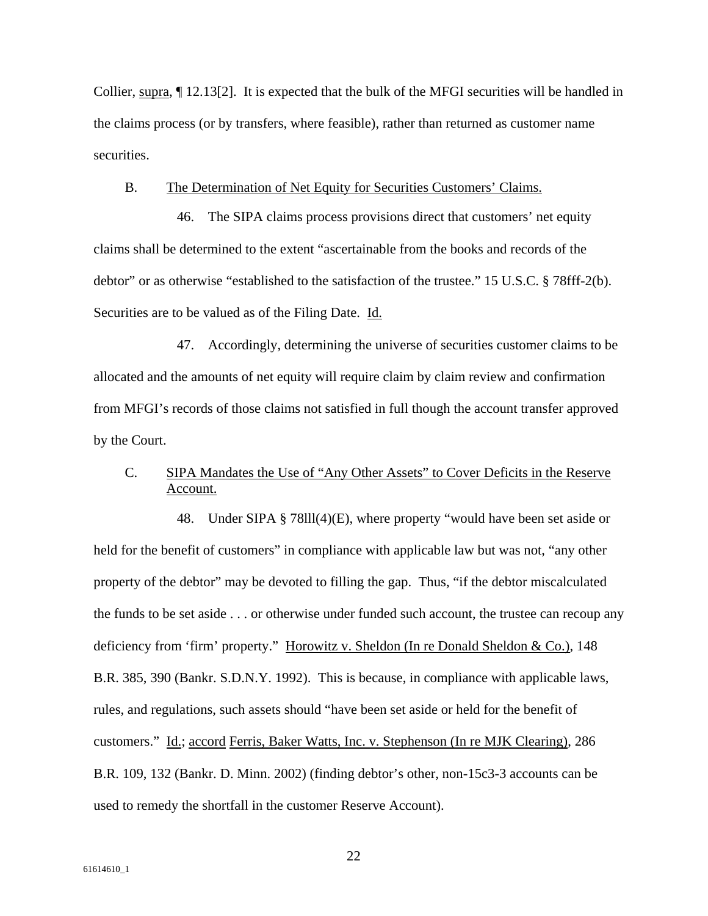Collier, supra, ¶ 12.13[2]. It is expected that the bulk of the MFGI securities will be handled in the claims process (or by transfers, where feasible), rather than returned as customer name securities.

#### B. The Determination of Net Equity for Securities Customers' Claims.

46. The SIPA claims process provisions direct that customers' net equity claims shall be determined to the extent "ascertainable from the books and records of the debtor" or as otherwise "established to the satisfaction of the trustee." 15 U.S.C. § 78fff-2(b). Securities are to be valued as of the Filing Date. Id.

47. Accordingly, determining the universe of securities customer claims to be allocated and the amounts of net equity will require claim by claim review and confirmation from MFGI's records of those claims not satisfied in full though the account transfer approved by the Court.

## C. SIPA Mandates the Use of "Any Other Assets" to Cover Deficits in the Reserve Account.

48. Under SIPA § 78lll(4)(E), where property "would have been set aside or held for the benefit of customers" in compliance with applicable law but was not, "any other property of the debtor" may be devoted to filling the gap. Thus, "if the debtor miscalculated the funds to be set aside . . . or otherwise under funded such account, the trustee can recoup any deficiency from 'firm' property." Horowitz v. Sheldon (In re Donald Sheldon & Co.), 148 B.R. 385, 390 (Bankr. S.D.N.Y. 1992). This is because, in compliance with applicable laws, rules, and regulations, such assets should "have been set aside or held for the benefit of customers." Id.; accord Ferris, Baker Watts, Inc. v. Stephenson (In re MJK Clearing), 286 B.R. 109, 132 (Bankr. D. Minn. 2002) (finding debtor's other, non-15c3-3 accounts can be used to remedy the shortfall in the customer Reserve Account).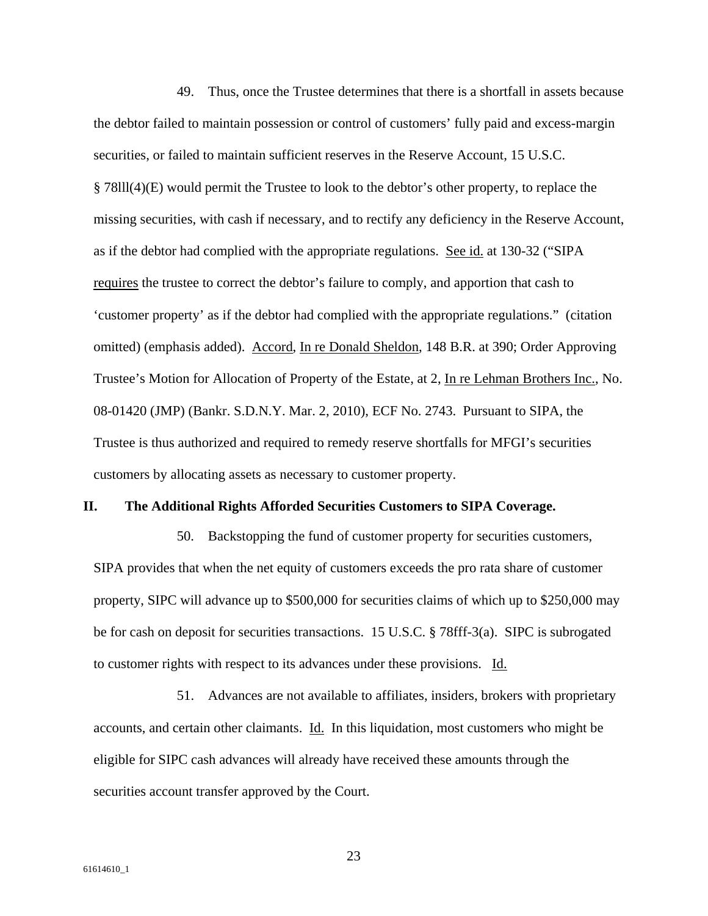49. Thus, once the Trustee determines that there is a shortfall in assets because the debtor failed to maintain possession or control of customers' fully paid and excess-margin securities, or failed to maintain sufficient reserves in the Reserve Account, 15 U.S.C. § 78lll(4)(E) would permit the Trustee to look to the debtor's other property, to replace the missing securities, with cash if necessary, and to rectify any deficiency in the Reserve Account, as if the debtor had complied with the appropriate regulations. See id. at 130-32 ("SIPA requires the trustee to correct the debtor's failure to comply, and apportion that cash to 'customer property' as if the debtor had complied with the appropriate regulations." (citation omitted) (emphasis added). Accord, In re Donald Sheldon, 148 B.R. at 390; Order Approving Trustee's Motion for Allocation of Property of the Estate, at 2, In re Lehman Brothers Inc., No. 08-01420 (JMP) (Bankr. S.D.N.Y. Mar. 2, 2010), ECF No. 2743. Pursuant to SIPA, the Trustee is thus authorized and required to remedy reserve shortfalls for MFGI's securities customers by allocating assets as necessary to customer property.

#### **II. The Additional Rights Afforded Securities Customers to SIPA Coverage.**

50. Backstopping the fund of customer property for securities customers, SIPA provides that when the net equity of customers exceeds the pro rata share of customer property, SIPC will advance up to \$500,000 for securities claims of which up to \$250,000 may be for cash on deposit for securities transactions. 15 U.S.C. § 78fff-3(a). SIPC is subrogated to customer rights with respect to its advances under these provisions. Id.

51. Advances are not available to affiliates, insiders, brokers with proprietary accounts, and certain other claimants. Id. In this liquidation, most customers who might be eligible for SIPC cash advances will already have received these amounts through the securities account transfer approved by the Court.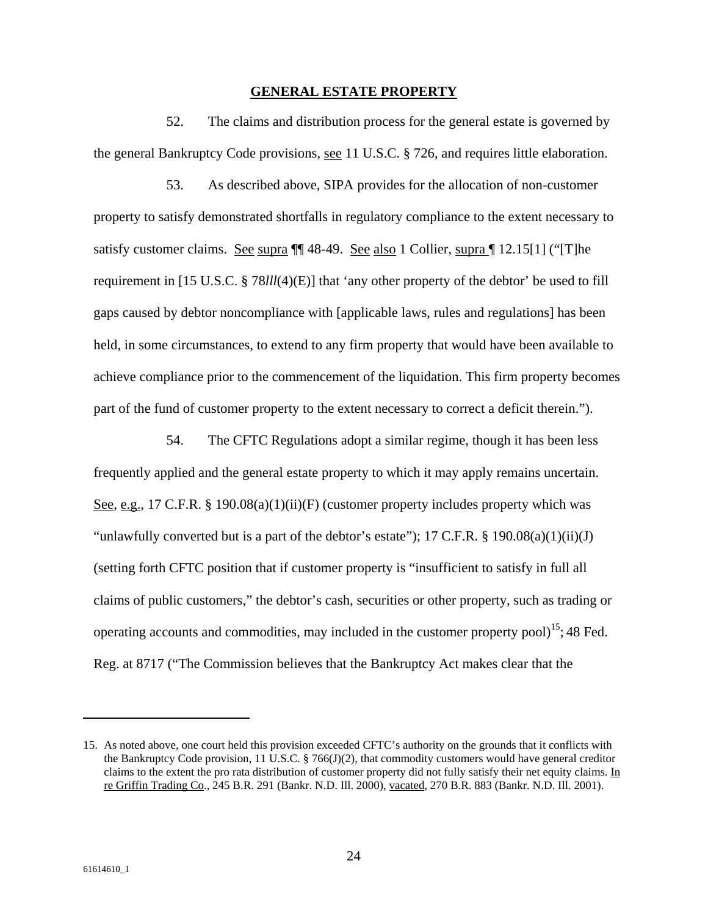#### **GENERAL ESTATE PROPERTY**

52. The claims and distribution process for the general estate is governed by the general Bankruptcy Code provisions, see 11 U.S.C. § 726, and requires little elaboration.

53. As described above, SIPA provides for the allocation of non-customer property to satisfy demonstrated shortfalls in regulatory compliance to the extent necessary to satisfy customer claims. See supra ¶¶ 48-49. See also 1 Collier, supra ¶ 12.15[1] ("[T]he requirement in [15 U.S.C. § 78*lll*(4)(E)] that 'any other property of the debtor' be used to fill gaps caused by debtor noncompliance with [applicable laws, rules and regulations] has been held, in some circumstances, to extend to any firm property that would have been available to achieve compliance prior to the commencement of the liquidation. This firm property becomes part of the fund of customer property to the extent necessary to correct a deficit therein.").

54. The CFTC Regulations adopt a similar regime, though it has been less frequently applied and the general estate property to which it may apply remains uncertain. See, e.g., 17 C.F.R. § 190.08(a)(1)(ii)(F) (customer property includes property which was "unlawfully converted but is a part of the debtor's estate");  $17$  C.F.R. §  $190.08(a)(1)(ii)(J)$ (setting forth CFTC position that if customer property is "insufficient to satisfy in full all claims of public customers," the debtor's cash, securities or other property, such as trading or operating accounts and commodities, may included in the customer property pool)<sup>15</sup>; 48 Fed. Reg. at 8717 ("The Commission believes that the Bankruptcy Act makes clear that the

<sup>15.</sup> As noted above, one court held this provision exceeded CFTC's authority on the grounds that it conflicts with the Bankruptcy Code provision, 11 U.S.C. § 766(J)(2), that commodity customers would have general creditor claims to the extent the pro rata distribution of customer property did not fully satisfy their net equity claims. In re Griffin Trading Co., 245 B.R. 291 (Bankr. N.D. Ill. 2000), vacated, 270 B.R. 883 (Bankr. N.D. Ill. 2001).